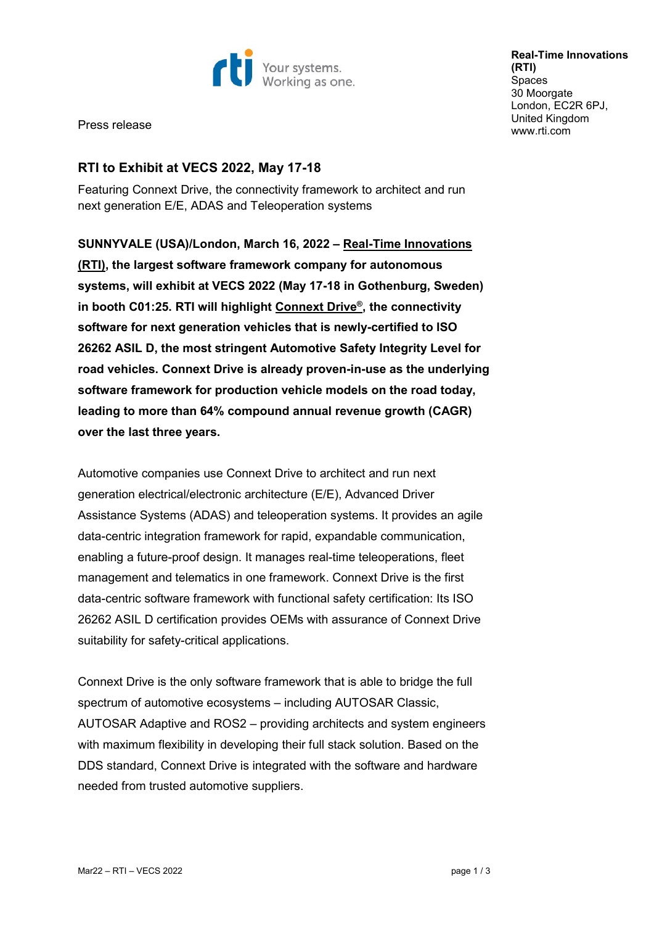

**Real-Time Innovations (RTI) Spaces** 30 Moorgate London, EC2R 6PJ, United Kingdom [www.rti.com](http://www.rti.com/)

Press release

# **RTI to Exhibit at VECS 2022, May 17-18**

Featuring Connext Drive, the connectivity framework to architect and run next generation E/E, ADAS and Teleoperation systems

**SUNNYVALE (USA)/London, March 16, 2022 – [Real-Time Innovations](http://www.rti.com/)  [\(RTI\),](http://www.rti.com/) the largest software framework company for autonomous systems, will exhibit at VECS 2022 (May 17-18 in Gothenburg, Sweden) in booth C01:25. RTI will highlight [Connext Drive®,](https://www.rti.com/drive) the connectivity software for next generation vehicles that is newly-certified to ISO 26262 ASIL D, the most stringent Automotive Safety Integrity Level for road vehicles. Connext Drive is already proven-in-use as the underlying software framework for production vehicle models on the road today, leading to more than 64% compound annual revenue growth (CAGR) over the last three years.**

Automotive companies use Connext Drive to architect and run next generation electrical/electronic architecture (E/E), Advanced Driver Assistance Systems (ADAS) and teleoperation systems. It provides an agile data-centric integration framework for rapid, expandable communication, enabling a future-proof design. It manages real-time teleoperations, fleet management and telematics in one framework. Connext Drive is the first data-centric software framework with functional safety certification: Its ISO 26262 ASIL D certification provides OEMs with assurance of Connext Drive suitability for safety-critical applications.

Connext Drive is the only software framework that is able to bridge the full spectrum of automotive ecosystems – including AUTOSAR Classic, AUTOSAR Adaptive and ROS2 – providing architects and system engineers with maximum flexibility in developing their full stack solution. Based on the DDS standard, Connext Drive is integrated with the software and hardware needed from trusted automotive suppliers.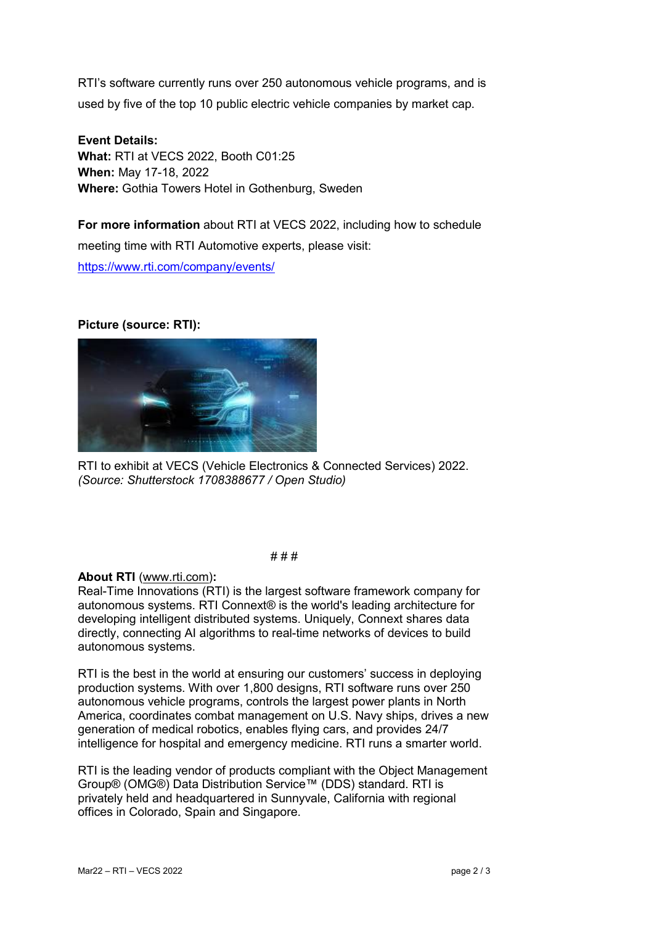RTI's software currently runs over 250 autonomous vehicle programs, and is used by five of the top 10 public electric vehicle companies by market cap.

**Event Details: What:** RTI at VECS 2022, Booth C01:25 **When:** May 17-18, 2022 **Where:** Gothia Towers Hotel in Gothenburg, Sweden

**For more information** about RTI at VECS 2022, including how to schedule meeting time with RTI Automotive experts, please visit: <https://www.rti.com/company/events/>

### **Picture (source: RTI):**



RTI to exhibit at VECS (Vehicle Electronics & Connected Services) 2022. *(Source: Shutterstock 1708388677 / Open Studio)*

#### # # #

### **About RTI** [\(www.rti.com\)](http://www.rti.com/)**:**

Real-Time Innovations (RTI) is the largest software framework company for autonomous systems. RTI Connext® is the world's leading architecture for developing intelligent distributed systems. Uniquely, Connext shares data directly, connecting AI algorithms to real-time networks of devices to build autonomous systems.

RTI is the best in the world at ensuring our customers' success in deploying production systems. With over 1,800 designs, RTI software runs over 250 autonomous vehicle programs, controls the largest power plants in North America, coordinates combat management on U.S. Navy ships, drives a new generation of medical robotics, enables flying cars, and provides 24/7 intelligence for hospital and emergency medicine. RTI runs a smarter world.

RTI is the leading vendor of products compliant with the Object Management Group® (OMG®) Data Distribution Service™ (DDS) standard. RTI is privately held and headquartered in Sunnyvale, California with regional offices in Colorado, Spain and Singapore.